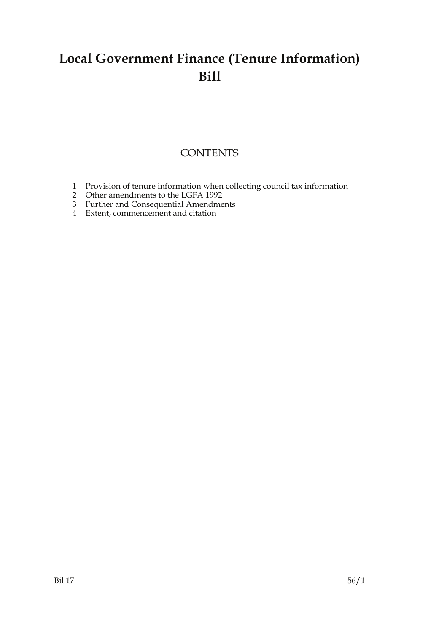## **Local Government Finance (Tenure Information) Bill**

### **CONTENTS**

- 1 Provision of tenure information when collecting council tax information
- 2 Other amendments to the LGFA 1992
- 3 Further and Consequential Amendments
- 4 Extent, commencement and citation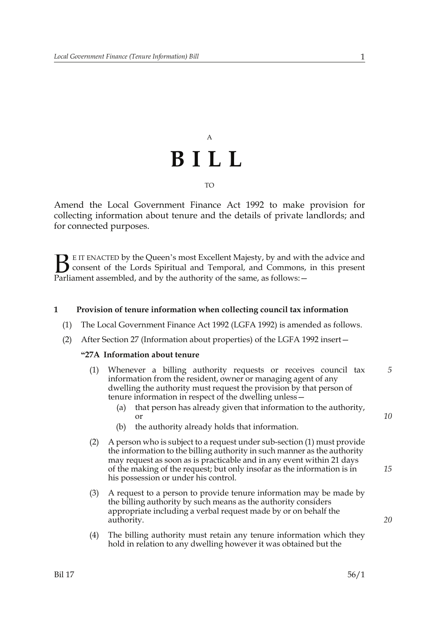# A **BILL** TO

Amend the Local Government Finance Act 1992 to make provision for collecting information about tenure and the details of private landlords; and for connected purposes.

E IT ENACTED by the Queen's most Excellent Majesty, by and with the advice and consent of the Lords Spiritual and Temporal, and Commons, in this present Parliament assembled, and by the authority of the same, as follows: - $B<sub>parti</sub>$ 

#### **1 Provision of tenure information when collecting council tax information**

- (1) The Local Government Finance Act 1992 (LGFA 1992) is amended as follows.
- (2) After Section 27 (Information about properties) of the LGFA 1992 insert—

#### **"27A Information about tenure**

- (1) Whenever a billing authority requests or receives council tax information from the resident, owner or managing agent of any dwelling the authority must request the provision by that person of tenure information in respect of the dwelling unless— *5*
	- (a) that person has already given that information to the authority, or
	- (b) the authority already holds that information.
- (2) A person who is subject to a request under sub-section (1) must provide the information to the billing authority in such manner as the authority may request as soon as is practicable and in any event within 21 days of the making of the request; but only insofar as the information is in his possession or under his control.
- (3) A request to a person to provide tenure information may be made by the billing authority by such means as the authority considers appropriate including a verbal request made by or on behalf the authority.
- (4) The billing authority must retain any tenure information which they hold in relation to any dwelling however it was obtained but the

*10*

*15*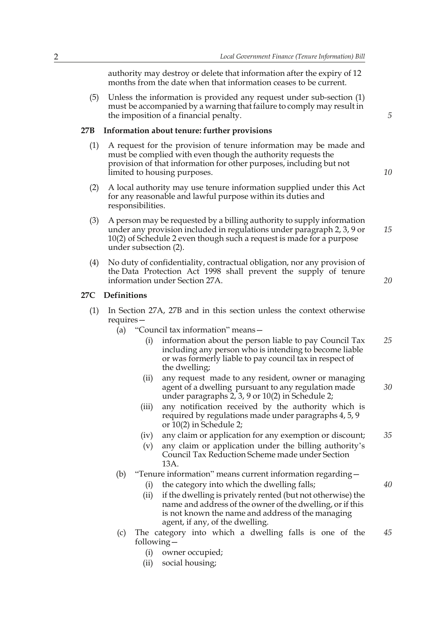authority may destroy or delete that information after the expiry of 12 months from the date when that information ceases to be current.

(5) Unless the information is provided any request under sub-section (1) must be accompanied by a warning that failure to comply may result in the imposition of a financial penalty.

#### **27B Information about tenure: further provisions**

- (1) A request for the provision of tenure information may be made and must be complied with even though the authority requests the provision of that information for other purposes, including but not limited to housing purposes.
- (2) A local authority may use tenure information supplied under this Act for any reasonable and lawful purpose within its duties and responsibilities.
- (3) A person may be requested by a billing authority to supply information under any provision included in regulations under paragraph 2, 3, 9 or 10(2) of Schedule 2 even though such a request is made for a purpose under subsection (2). *15*
- (4) No duty of confidentiality, contractual obligation, nor any provision of the Data Protection Act 1998 shall prevent the supply of tenure information under Section 27A.

#### **27C Definitions**

- (1) In Section 27A, 27B and in this section unless the context otherwise requires—
	- (a) "Council tax information" means
		- information about the person liable to pay Council Tax including any person who is intending to become liable or was formerly liable to pay council tax in respect of the dwelling; *25*
		- (ii) any request made to any resident, owner or managing agent of a dwelling pursuant to any regulation made under paragraphs 2, 3, 9 or 10(2) in Schedule 2;
		- (iii) any notification received by the authority which is required by regulations made under paragraphs 4, 5, 9 or 10(2) in Schedule 2;
		- (iv) any claim or application for any exemption or discount; *35*
		- (v) any claim or application under the billing authority's Council Tax Reduction Scheme made under Section 13A.

#### (b) "Tenure information" means current information regarding—

- (i) the category into which the dwelling falls;
- (ii) if the dwelling is privately rented (but not otherwise) the name and address of the owner of the dwelling, or if this is not known the name and address of the managing agent, if any, of the dwelling.
- (c) The category into which a dwelling falls is one of the following— *45*
	- (i) owner occupied;
	- (ii) social housing;

*10*

*20*

*30*

*40*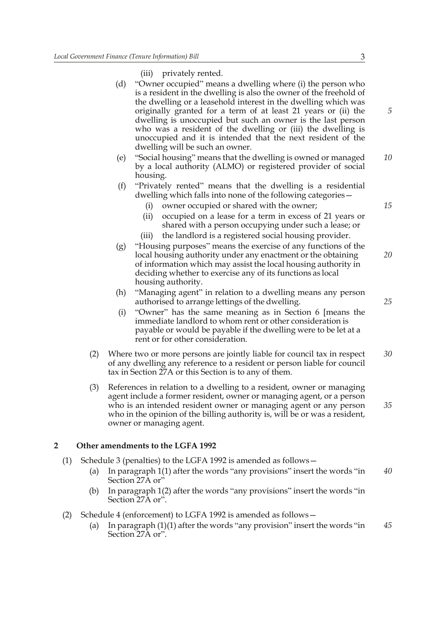(iii) privately rented.

- (d) "Owner occupied" means a dwelling where (i) the person who is a resident in the dwelling is also the owner of the freehold of the dwelling or a leasehold interest in the dwelling which was originally granted for a term of at least 21 years or (ii) the dwelling is unoccupied but such an owner is the last person who was a resident of the dwelling or (iii) the dwelling is unoccupied and it is intended that the next resident of the dwelling will be such an owner.
- (e) "Social housing" means that the dwelling is owned or managed by a local authority (ALMO) or registered provider of social housing. *10*
- (f) "Privately rented" means that the dwelling is a residential dwelling which falls into none of the following categories—
	- (i) owner occupied or shared with the owner;
	- (ii) occupied on a lease for a term in excess of 21 years or shared with a person occupying under such a lease; or
	- (iii) the landlord is a registered social housing provider.
- (g) "Housing purposes" means the exercise of any functions of the local housing authority under any enactment or the obtaining of information which may assist the local housing authority in deciding whether to exercise any of its functions as local housing authority. *20*
- (h) "Managing agent" in relation to a dwelling means any person authorised to arrange lettings of the dwelling.
- (i) "Owner" has the same meaning as in Section 6 [means the immediate landlord to whom rent or other consideration is payable or would be payable if the dwelling were to be let at a rent or for other consideration.
- (2) Where two or more persons are jointly liable for council tax in respect of any dwelling any reference to a resident or person liable for council tax in Section 27A or this Section is to any of them. *30*
- (3) References in relation to a dwelling to a resident, owner or managing agent include a former resident, owner or managing agent, or a person who is an intended resident owner or managing agent or any person who in the opinion of the billing authority is, will be or was a resident, owner or managing agent.

#### **2 Other amendments to the LGFA 1992**

- (1) Schedule 3 (penalties) to the LGFA 1992 is amended as follows—
	- (a) In paragraph 1(1) after the words "any provisions" insert the words "in Section 27A or' *40*
	- (b) In paragraph 1(2) after the words "any provisions" insert the words "in Section 27A or".
- (2) Schedule 4 (enforcement) to LGFA 1992 is amended as follows—
	- (a) In paragraph (1)(1) after the words "any provision" insert the words "in Section 27A or". *45*

*15*

*25*

*35*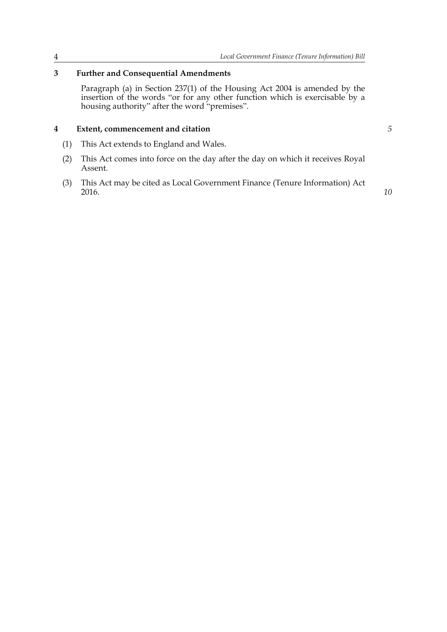### **3 Further and Consequential Amendments**

Paragraph (a) in Section 237(1) of the Housing Act 2004 is amended by the insertion of the words "or for any other function which is exercisable by a housing authority" after the word "premises".

#### **4 Extent, commencement and citation**

- (1) This Act extends to England and Wales.
- (2) This Act comes into force on the day after the day on which it receives Royal Assent.
- (3) This Act may be cited as Local Government Finance (Tenure Information) Act 2016.